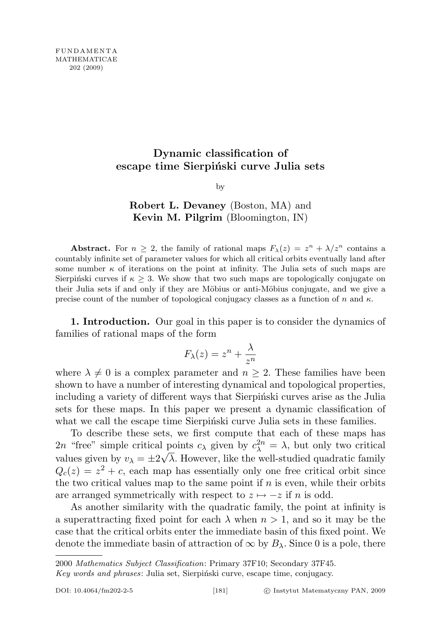# Dynamic classification of escape time Sierpiński curve Julia sets

by

# Robert L. Devaney (Boston, MA) and Kevin M. Pilgrim (Bloomington, IN)

**Abstract.** For  $n \geq 2$ , the family of rational maps  $F_{\lambda}(z) = z^{n} + \lambda/z^{n}$  contains a countably infinite set of parameter values for which all critical orbits eventually land after some number  $\kappa$  of iterations on the point at infinity. The Julia sets of such maps are Sierpinski curves if  $\kappa \geq 3$ . We show that two such maps are topologically conjugate on their Julia sets if and only if they are Möbius or anti-Möbius conjugate, and we give a precise count of the number of topological conjugacy classes as a function of n and  $\kappa$ .

1. Introduction. Our goal in this paper is to consider the dynamics of families of rational maps of the form

$$
F_{\lambda}(z) = z^n + \frac{\lambda}{z^n}
$$

where  $\lambda \neq 0$  is a complex parameter and  $n \geq 2$ . These families have been shown to have a number of interesting dynamical and topological properties, including a variety of different ways that Sierpinski curves arise as the Julia sets for these maps. In this paper we present a dynamic classification of what we call the escape time Sierpinski curve Julia sets in these families.

To describe these sets, we first compute that each of these maps has 2n "free" simple critical points  $c_{\lambda}$  given by  $c_{\lambda}^{2n} = \lambda$ , but only two critical values given by  $v_{\lambda} = \pm 2\sqrt{\lambda}$ . However, like the well-studied quadratic family  $Q_c(z) = z^2 + c$ , each map has essentially only one free critical orbit since the two critical values map to the same point if  $n$  is even, while their orbits are arranged symmetrically with respect to  $z \mapsto -z$  if n is odd.

As another similarity with the quadratic family, the point at infinity is a superattracting fixed point for each  $\lambda$  when  $n > 1$ , and so it may be the case that the critical orbits enter the immediate basin of this fixed point. We denote the immediate basin of attraction of  $\infty$  by  $B_{\lambda}$ . Since 0 is a pole, there

<sup>2000</sup> Mathematics Subject Classification: Primary 37F10; Secondary 37F45.

Key words and phrases: Julia set, Sierpiński curve, escape time, conjugacy.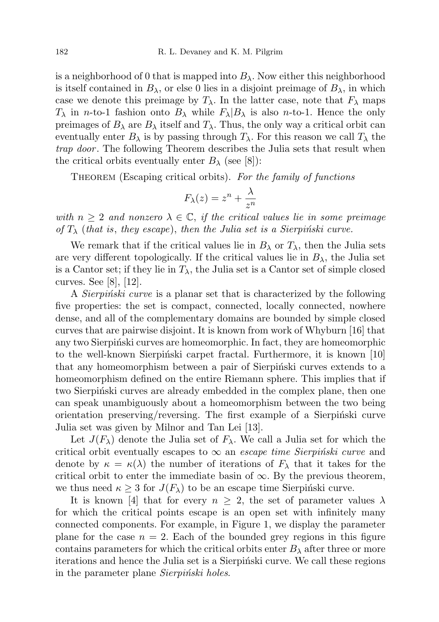is a neighborhood of 0 that is mapped into  $B_{\lambda}$ . Now either this neighborhood is itself contained in  $B_{\lambda}$ , or else 0 lies in a disjoint preimage of  $B_{\lambda}$ , in which case we denote this preimage by  $T_{\lambda}$ . In the latter case, note that  $F_{\lambda}$  maps  $T_{\lambda}$  in *n*-to-1 fashion onto  $B_{\lambda}$  while  $F_{\lambda}|B_{\lambda}$  is also *n*-to-1. Hence the only preimages of  $B_\lambda$  are  $B_\lambda$  itself and  $T_\lambda$ . Thus, the only way a critical orbit can eventually enter  $B_\lambda$  is by passing through  $T_\lambda$ . For this reason we call  $T_\lambda$  the trap door. The following Theorem describes the Julia sets that result when the critical orbits eventually enter  $B_\lambda$  (see [8]):

THEOREM (Escaping critical orbits). For the family of functions

$$
F_{\lambda}(z) = z^n + \frac{\lambda}{z^n}
$$

with  $n \geq 2$  and nonzero  $\lambda \in \mathbb{C}$ , if the critical values lie in some preimage of  $T_{\lambda}$  (that is, they escape), then the Julia set is a Sierpinski curve.

We remark that if the critical values lie in  $B_\lambda$  or  $T_\lambda$ , then the Julia sets are very different topologically. If the critical values lie in  $B_{\lambda}$ , the Julia set is a Cantor set; if they lie in  $T_{\lambda}$ , the Julia set is a Cantor set of simple closed curves. See [8], [12].

A *Sierpinski curve* is a planar set that is characterized by the following five properties: the set is compact, connected, locally connected, nowhere dense, and all of the complementary domains are bounded by simple closed curves that are pairwise disjoint. It is known from work of Whyburn [16] that any two Sierpiński curves are homeomorphic. In fact, they are homeomorphic to the well-known Sierpinski carpet fractal. Furthermore, it is known  $[10]$ that any homeomorphism between a pair of Sierpinski curves extends to a homeomorphism defined on the entire Riemann sphere. This implies that if two Sierpinski curves are already embedded in the complex plane, then one can speak unambiguously about a homeomorphism between the two being orientation preserving/reversing. The first example of a Sierpinski curve Julia set was given by Milnor and Tan Lei [13].

Let  $J(F_\lambda)$  denote the Julia set of  $F_\lambda$ . We call a Julia set for which the critical orbit eventually escapes to  $\infty$  an *escape time Sierpinski curve* and denote by  $\kappa = \kappa(\lambda)$  the number of iterations of  $F_{\lambda}$  that it takes for the critical orbit to enter the immediate basin of  $\infty$ . By the previous theorem, we thus need  $\kappa \geq 3$  for  $J(F_\lambda)$  to be an escape time Sierpinski curve.

It is known [4] that for every  $n \geq 2$ , the set of parameter values  $\lambda$ for which the critical points escape is an open set with infinitely many connected components. For example, in Figure 1, we display the parameter plane for the case  $n = 2$ . Each of the bounded grey regions in this figure contains parameters for which the critical orbits enter  $B_\lambda$  after three or more iterations and hence the Julia set is a Sierpinski curve. We call these regions in the parameter plane *Sierpinski holes*.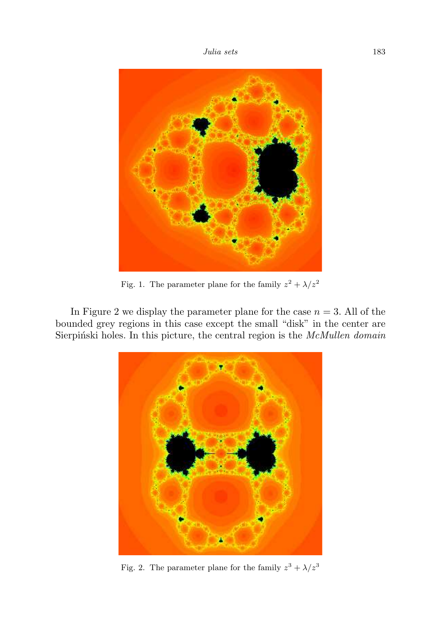

Fig. 1. The parameter plane for the family  $z^2 + \lambda/z^2$ 

In Figure 2 we display the parameter plane for the case  $n = 3$ . All of the bounded grey regions in this case except the small "disk" in the center are Sierpiński holes. In this picture, the central region is the McMullen domain



Fig. 2. The parameter plane for the family  $z^3 + \lambda/z^3$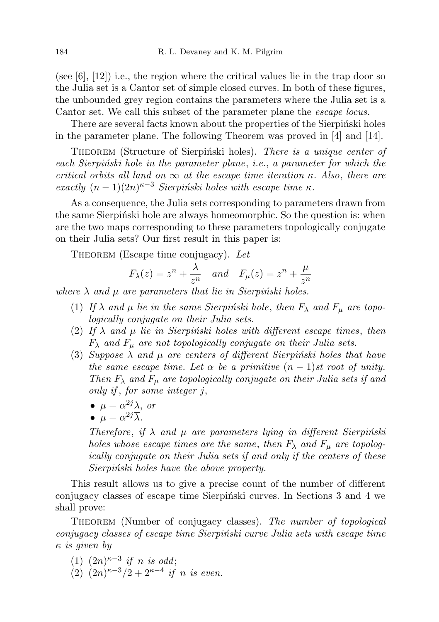(see [6], [12]) i.e., the region where the critical values lie in the trap door so the Julia set is a Cantor set of simple closed curves. In both of these figures, the unbounded grey region contains the parameters where the Julia set is a Cantor set. We call this subset of the parameter plane the escape locus.

There are several facts known about the properties of the Sierpinski holes in the parameter plane. The following Theorem was proved in [4] and [14].

THEOREM (Structure of Sierpinski holes). There is a unique center of each Sierpinski hole in the parameter plane, i.e., a parameter for which the critical orbits all land on  $\infty$  at the escape time iteration  $\kappa$ . Also, there are exactly  $(n-1)(2n)^{\kappa-3}$  Sierpiński holes with escape time  $\kappa$ .

As a consequence, the Julia sets corresponding to parameters drawn from the same Sierpinski hole are always homeomorphic. So the question is: when are the two maps corresponding to these parameters topologically conjugate on their Julia sets? Our first result in this paper is:

THEOREM (Escape time conjugacy). Let

$$
F_{\lambda}(z) = z^n + \frac{\lambda}{z^n}
$$
 and  $F_{\mu}(z) = z^n + \frac{\mu}{z^n}$ 

where  $\lambda$  and  $\mu$  are parameters that lie in Sierpinski holes.

- (1) If  $\lambda$  and  $\mu$  lie in the same Sierpinski hole, then  $F_{\lambda}$  and  $F_{\mu}$  are topologically conjugate on their Julia sets.
- (2) If  $\lambda$  and  $\mu$  lie in Sierpinski holes with different escape times, then  $F_{\lambda}$  and  $F_{\mu}$  are not topologically conjugate on their Julia sets.
- (3) Suppose  $\lambda$  and  $\mu$  are centers of different Sierpinski holes that have the same escape time. Let  $\alpha$  be a primitive  $(n-1)$ st root of unity. Then  $F_{\lambda}$  and  $F_{\mu}$  are topologically conjugate on their Julia sets if and only if , for some integer j,
	- $\bullet \ \mu = \alpha^{2j}\lambda, \text{ or }$
	- $\bullet \ \mu = \alpha^{2j} \overline{\lambda}.$

Therefore, if  $\lambda$  and  $\mu$  are parameters lying in different Sierpinski holes whose escape times are the same, then  $F_{\lambda}$  and  $F_{\mu}$  are topologically conjugate on their Julia sets if and only if the centers of these Sierpiński holes have the above property.

This result allows us to give a precise count of the number of different conjugacy classes of escape time Sierpinski curves. In Sections 3 and 4 we shall prove:

THEOREM (Number of conjugacy classes). The number of topological conjugacy classes of escape time Sierpinski curve Julia sets with escape time κ is given by

- (1)  $(2n)^{\kappa-3}$  if n is odd;
- (2)  $(2n)^{\kappa-3}/2+2^{\kappa-4}$  if n is even.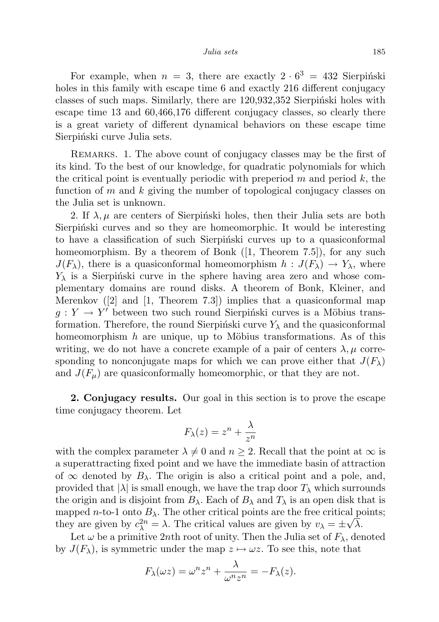For example, when  $n = 3$ , there are exactly  $2 \cdot 6^3 = 432$  Sierpinski holes in this family with escape time 6 and exactly 216 different conjugacy classes of such maps. Similarly, there are  $120,932,352$  Sierpinski holes with escape time 13 and 60,466,176 different conjugacy classes, so clearly there is a great variety of different dynamical behaviors on these escape time Sierpiński curve Julia sets.

Remarks. 1. The above count of conjugacy classes may be the first of its kind. To the best of our knowledge, for quadratic polynomials for which the critical point is eventually periodic with preperiod  $m$  and period  $k$ , the function of m and k giving the number of topological conjugacy classes on the Julia set is unknown.

2. If  $\lambda, \mu$  are centers of Sierpinski holes, then their Julia sets are both Sierpinski curves and so they are homeomorphic. It would be interesting to have a classification of such Sierpinski curves up to a quasiconformal homeomorphism. By a theorem of Bonk ([1, Theorem 7.5]), for any such  $J(F_\lambda)$ , there is a quasiconformal homeomorphism  $h: J(F_\lambda) \to Y_\lambda$ , where  $Y_{\lambda}$  is a Sierpinski curve in the sphere having area zero and whose complementary domains are round disks. A theorem of Bonk, Kleiner, and Merenkov  $(2)$  and  $[1,$  Theorem 7.3) implies that a quasiconformal map  $g: Y \to Y'$  between two such round Sierpinski curves is a Möbius transformation. Therefore, the round Sierpinski curve  $Y_{\lambda}$  and the quasiconformal homeomorphism h are unique, up to Möbius transformations. As of this writing, we do not have a concrete example of a pair of centers  $\lambda, \mu$  corresponding to nonconjugate maps for which we can prove either that  $J(F_\lambda)$ and  $J(F_{\mu})$  are quasiconformally homeomorphic, or that they are not.

2. Conjugacy results. Our goal in this section is to prove the escape time conjugacy theorem. Let

$$
F_{\lambda}(z) = z^n + \frac{\lambda}{z^n}
$$

with the complex parameter  $\lambda \neq 0$  and  $n \geq 2$ . Recall that the point at  $\infty$  is a superattracting fixed point and we have the immediate basin of attraction of  $\infty$  denoted by  $B_\lambda$ . The origin is also a critical point and a pole, and, provided that  $|\lambda|$  is small enough, we have the trap door  $T_{\lambda}$  which surrounds the origin and is disjoint from  $B_\lambda$ . Each of  $B_\lambda$  and  $T_\lambda$  is an open disk that is mapped *n*-to-1 onto  $B_\lambda$ . The other critical points are the free critical points; they are given by  $c_{\lambda}^{2n} = \lambda$ . The critical values are given by  $v_{\lambda} = \pm \sqrt{\lambda}$ .

Let  $\omega$  be a primitive 2nth root of unity. Then the Julia set of  $F_{\lambda}$ , denoted by  $J(F_\lambda)$ , is symmetric under the map  $z \mapsto \omega z$ . To see this, note that

$$
F_{\lambda}(\omega z) = \omega^n z^n + \frac{\lambda}{\omega^n z^n} = -F_{\lambda}(z).
$$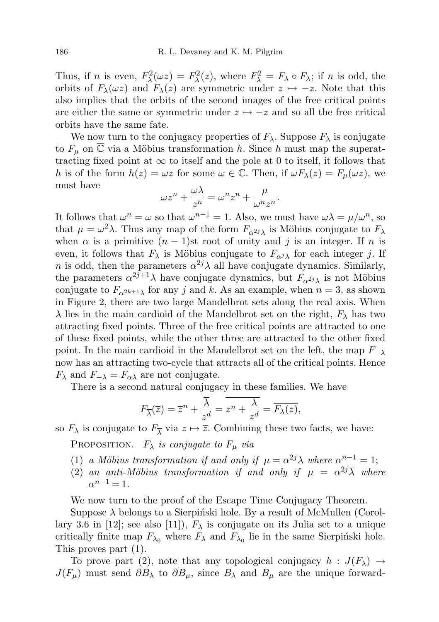Thus, if *n* is even,  $F_{\lambda}^2(\omega z) = F_{\lambda}^2(z)$ , where  $F_{\lambda}^2 = F_{\lambda} \circ F_{\lambda}$ ; if *n* is odd, the orbits of  $F_{\lambda}(\omega z)$  and  $F_{\lambda}(z)$  are symmetric under  $z \mapsto -z$ . Note that this also implies that the orbits of the second images of the free critical points are either the same or symmetric under  $z \mapsto -z$  and so all the free critical orbits have the same fate.

We now turn to the conjugacy properties of  $F_{\lambda}$ . Suppose  $F_{\lambda}$  is conjugate to  $F_{\mu}$  on  $\overline{\mathbb{C}}$  via a Möbius transformation h. Since h must map the superattracting fixed point at  $\infty$  to itself and the pole at 0 to itself, it follows that h is of the form  $h(z) = \omega z$  for some  $\omega \in \mathbb{C}$ . Then, if  $\omega F_{\lambda}(z) = F_{\mu}(\omega z)$ , we must have

$$
\omega z^n + \frac{\omega \lambda}{z^n} = \omega^n z^n + \frac{\mu}{\omega^n z^n}.
$$

It follows that  $\omega^n = \omega$  so that  $\omega^{n-1} = 1$ . Also, we must have  $\omega \lambda = \mu/\omega^n$ , so that  $\mu = \omega^2 \lambda$ . Thus any map of the form  $F_{\alpha^2}$  is Möbius conjugate to  $F_{\lambda}$ when  $\alpha$  is a primitive  $(n - 1)$ st root of unity and j is an integer. If n is even, it follows that  $F_{\lambda}$  is Möbius conjugate to  $F_{\alpha j\lambda}$  for each integer j. If *n* is odd, then the parameters  $\alpha^{2j}\lambda$  all have conjugate dynamics. Similarly, the parameters  $\alpha^{2j+1}\lambda$  have conjugate dynamics, but  $F_{\alpha^{2j}\lambda}$  is not Möbius conjugate to  $F_{\alpha^{2k+1}\lambda}$  for any j and k. As an example, when  $n=3$ , as shown in Figure 2, there are two large Mandelbrot sets along the real axis. When  $\lambda$  lies in the main cardioid of the Mandelbrot set on the right,  $F_{\lambda}$  has two attracting fixed points. Three of the free critical points are attracted to one of these fixed points, while the other three are attracted to the other fixed point. In the main cardioid in the Mandelbrot set on the left, the map  $F_{-\lambda}$ now has an attracting two-cycle that attracts all of the critical points. Hence  $F_{\lambda}$  and  $F_{-\lambda} = F_{\alpha\lambda}$  are not conjugate.

There is a second natural conjugacy in these families. We have

$$
F_{\overline{\lambda}}(\overline{z}) = \overline{z}^n + \frac{\overline{\lambda}}{\overline{z}^d} = \overline{z^n + \frac{\lambda}{z^d}} = \overline{F_{\lambda}(z)},
$$

so  $F_{\lambda}$  is conjugate to  $F_{\overline{\lambda}}$  via  $z \mapsto \overline{z}$ . Combining these two facts, we have:

PROPOSITION.  $F_{\lambda}$  is conjugate to  $F_{\mu}$  via

- (1) a Möbius transformation if and only if  $\mu = \alpha^{2j} \lambda$  where  $\alpha^{n-1} = 1$ ;
- (2) an anti-Möbius transformation if and only if  $\mu = \alpha^{2j} \overline{\lambda}$  where  $\alpha^{n-1} = 1$ .

We now turn to the proof of the Escape Time Conjugacy Theorem.

Suppose  $\lambda$  belongs to a Sierpiński hole. By a result of McMullen (Corollary 3.6 in [12]; see also [11]),  $F_{\lambda}$  is conjugate on its Julia set to a unique critically finite map  $F_{\lambda_0}$  where  $F_{\lambda}$  and  $F_{\lambda_0}$  lie in the same Sierpinski hole. This proves part (1).

To prove part (2), note that any topological conjugacy  $h : J(F_\lambda) \to$  $J(F_\mu)$  must send  $\partial B_\lambda$  to  $\partial B_\mu$ , since  $B_\lambda$  and  $B_\mu$  are the unique forward-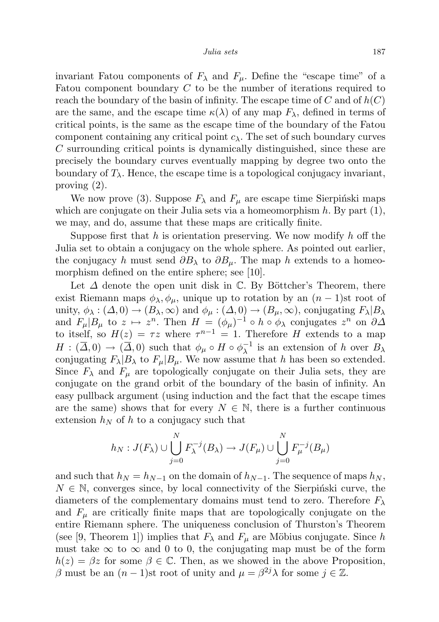invariant Fatou components of  $F_{\lambda}$  and  $F_{\mu}$ . Define the "escape time" of a Fatou component boundary C to be the number of iterations required to reach the boundary of the basin of infinity. The escape time of  $C$  and of  $h(C)$ are the same, and the escape time  $\kappa(\lambda)$  of any map  $F_{\lambda}$ , defined in terms of critical points, is the same as the escape time of the boundary of the Fatou component containing any critical point  $c_{\lambda}$ . The set of such boundary curves C surrounding critical points is dynamically distinguished, since these are precisely the boundary curves eventually mapping by degree two onto the boundary of  $T_{\lambda}$ . Hence, the escape time is a topological conjugacy invariant, proving (2).

We now prove (3). Suppose  $F_{\lambda}$  and  $F_{\mu}$  are escape time Sierpinski maps which are conjugate on their Julia sets via a homeomorphism  $h$ . By part  $(1)$ , we may, and do, assume that these maps are critically finite.

Suppose first that  $h$  is orientation preserving. We now modify  $h$  off the Julia set to obtain a conjugacy on the whole sphere. As pointed out earlier, the conjugacy h must send  $\partial B_\lambda$  to  $\partial B_\mu$ . The map h extends to a homeomorphism defined on the entire sphere; see [10].

Let  $\Delta$  denote the open unit disk in  $\mathbb{C}$ . By Böttcher's Theorem, there exist Riemann maps  $\phi_{\lambda}, \phi_{\mu}$ , unique up to rotation by an  $(n-1)$ st root of unity,  $\phi_{\lambda} : (\Delta, 0) \to (B_{\lambda}, \infty)$  and  $\phi_{\mu} : (\Delta, 0) \to (B_{\mu}, \infty)$ , conjugating  $F_{\lambda} | B_{\lambda}$ and  $F_{\mu}|B_{\mu}$  to  $z \mapsto z^{n}$ . Then  $H = (\phi_{\mu})^{-1} \circ h \circ \phi_{\lambda}$  conjugates  $z^{n}$  on  $\partial \Delta$ to itself, so  $H(z) = \tau z$  where  $\tau^{n-1} = 1$ . Therefore H extends to a map  $H: (\overline{\Delta},0) \to (\overline{\Delta},0)$  such that  $\phi_{\mu} \circ H \circ \phi_{\lambda}^{-1}$  $\overline{\lambda}^{-1}$  is an extension of h over  $B_{\lambda}$ conjugating  $F_{\lambda}|B_{\lambda}$  to  $F_{\mu}|B_{\mu}$ . We now assume that h has been so extended. Since  $F_{\lambda}$  and  $F_{\mu}$  are topologically conjugate on their Julia sets, they are conjugate on the grand orbit of the boundary of the basin of infinity. An easy pullback argument (using induction and the fact that the escape times are the same) shows that for every  $N \in \mathbb{N}$ , there is a further continuous extension  $h_N$  of h to a conjugacy such that

$$
h_N: J(F_\lambda) \cup \bigcup_{j=0}^N F_\lambda^{-j}(B_\lambda) \to J(F_\mu) \cup \bigcup_{j=0}^N F_\mu^{-j}(B_\mu)
$$

and such that  $h_N = h_{N-1}$  on the domain of  $h_{N-1}$ . The sequence of maps  $h_N$ ,  $N \in \mathbb{N}$ , converges since, by local connectivity of the Sierpinski curve, the diameters of the complementary domains must tend to zero. Therefore  $F_{\lambda}$ and  $F_{\mu}$  are critically finite maps that are topologically conjugate on the entire Riemann sphere. The uniqueness conclusion of Thurston's Theorem (see [9, Theorem 1]) implies that  $F_{\lambda}$  and  $F_{\mu}$  are Möbius conjugate. Since h must take  $\infty$  to  $\infty$  and 0 to 0, the conjugating map must be of the form  $h(z) = \beta z$  for some  $\beta \in \mathbb{C}$ . Then, as we showed in the above Proposition, β must be an  $(n-1)$ st root of unity and  $μ = β<sup>2j</sup>λ$  for some  $j ∈ ℤ$ .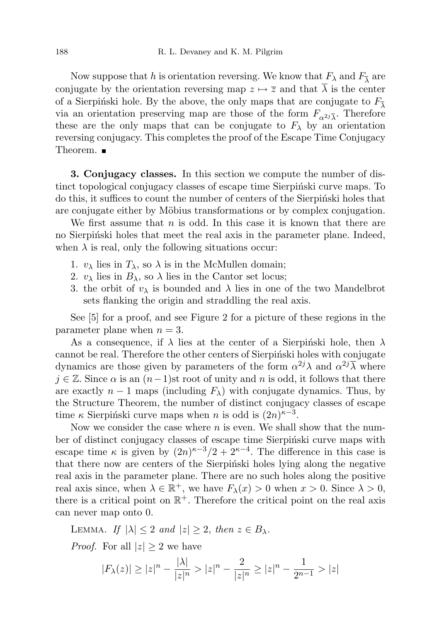Now suppose that h is orientation reversing. We know that  $F_{\lambda}$  and  $F_{\overline{\lambda}}$  are conjugate by the orientation reversing map  $z \mapsto \overline{z}$  and that  $\lambda$  is the center of a Sierpiński hole. By the above, the only maps that are conjugate to  $F_{\overline{\lambda}}$ via an orientation preserving map are those of the form  $F_{\alpha^2 i \overline{\lambda}}$ . Therefore these are the only maps that can be conjugate to  $F_{\lambda}$  by an orientation reversing conjugacy. This completes the proof of the Escape Time Conjugacy Theorem. ■

3. Conjugacy classes. In this section we compute the number of distinct topological conjugacy classes of escape time Sierpinski curve maps. To do this, it suffices to count the number of centers of the Sierpinski holes that are conjugate either by Möbius transformations or by complex conjugation.

We first assume that  $n$  is odd. In this case it is known that there are no Sierpinski holes that meet the real axis in the parameter plane. Indeed, when  $\lambda$  is real, only the following situations occur:

- 1.  $v_{\lambda}$  lies in  $T_{\lambda}$ , so  $\lambda$  is in the McMullen domain;
- 2.  $v_{\lambda}$  lies in  $B_{\lambda}$ , so  $\lambda$  lies in the Cantor set locus;
- 3. the orbit of  $v_{\lambda}$  is bounded and  $\lambda$  lies in one of the two Mandelbrot sets flanking the origin and straddling the real axis.

See [5] for a proof, and see Figure 2 for a picture of these regions in the parameter plane when  $n = 3$ .

As a consequence, if  $\lambda$  lies at the center of a Sierpinski hole, then  $\lambda$ cannot be real. Therefore the other centers of Sierpinski holes with conjugate dynamics are those given by parameters of the form  $\alpha^{2j}\lambda$  and  $\alpha^{2j}\overline{\lambda}$  where  $j \in \mathbb{Z}$ . Since  $\alpha$  is an  $(n-1)$ st root of unity and n is odd, it follows that there are exactly  $n-1$  maps (including  $F_{\lambda}$ ) with conjugate dynamics. Thus, by the Structure Theorem, the number of distinct conjugacy classes of escape time  $\kappa$  Sierpiński curve maps when n is odd is  $(2n)^{\kappa-3}$ .

Now we consider the case where  $n$  is even. We shall show that the number of distinct conjugacy classes of escape time Sierpinski curve maps with escape time  $\kappa$  is given by  $(2n)^{\kappa-3}/2+2^{\kappa-4}$ . The difference in this case is that there now are centers of the Sierpiński holes lying along the negative real axis in the parameter plane. There are no such holes along the positive real axis since, when  $\lambda \in \mathbb{R}^+$ , we have  $F_{\lambda}(x) > 0$  when  $x > 0$ . Since  $\lambda > 0$ , there is a critical point on  $\mathbb{R}^+$ . Therefore the critical point on the real axis can never map onto 0.

LEMMA. If  $|\lambda| \leq 2$  and  $|z| \geq 2$ , then  $z \in B_{\lambda}$ . *Proof.* For all  $|z| \geq 2$  we have

$$
|F_{\lambda}(z)| \ge |z|^n - \frac{|\lambda|}{|z|^n} > |z|^n - \frac{2}{|z|^n} \ge |z|^n - \frac{1}{2^{n-1}} > |z|
$$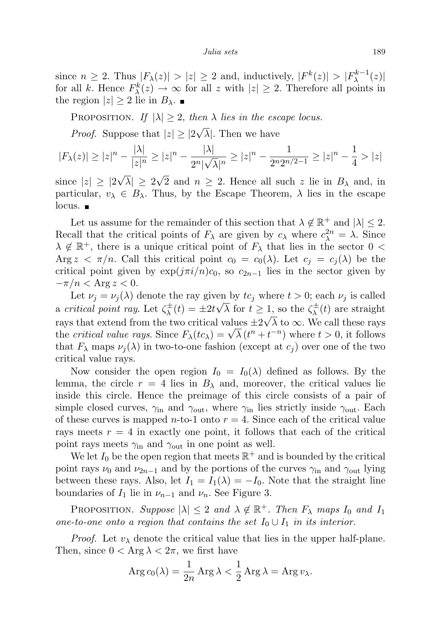since  $n \geq 2$ . Thus  $|F_{\lambda}(z)| > |z| \geq 2$  and, inductively,  $|F^k(z)| > |F_{\lambda}^{k-1}|$  $\lambda^{k-1}(z)|$ for all k. Hence  $F_{\lambda}^{k}(z) \rightarrow \infty$  for all z with  $|z| \geq 2$ . Therefore all points in the region  $|z| \geq 2$  lie in  $B_{\lambda}$ .

PROPOSITION. If  $|\lambda| \geq 2$ , then  $\lambda$  lies in the escape locus.

*Proof.* Suppose that  $|z| \geq 2$ √  $\lambda$ . Then we have

$$
|F_{\lambda}(z)| \ge |z|^n - \frac{|\lambda|}{|z|^n} \ge |z|^n - \frac{|\lambda|}{2^n |\sqrt{\lambda}|^n} \ge |z|^n - \frac{1}{2^n 2^{n/2 - 1}} \ge |z|^n - \frac{1}{4} > |z|
$$

since  $|z| \geq 2$  $|\lambda|\,\geq\, 2$ 2 and  $n \ge 2$ . Hence all such z lie in  $B_\lambda$  and, in particular,  $v_{\lambda} \in B_{\lambda}$ . Thus, by the Escape Theorem,  $\lambda$  lies in the escape  $locus.$ 

Let us assume for the remainder of this section that  $\lambda \notin \mathbb{R}^+$  and  $|\lambda| \leq 2$ . Recall that the critical points of  $F_{\lambda}$  are given by  $c_{\lambda}$  where  $c_{\lambda}^{2n} = \lambda$ . Since  $\lambda \notin \mathbb{R}^+$ , there is a unique critical point of  $F_\lambda$  that lies in the sector 0 < Arg  $z < \pi/n$ . Call this critical point  $c_0 = c_0(\lambda)$ . Let  $c_i = c_i(\lambda)$  be the critical point given by  $\exp(j\pi i/n)c_0$ , so  $c_{2n-1}$  lies in the sector given by  $-\pi/n < \text{Arg } z < 0.$ 

Let  $\nu_j = \nu_j(\lambda)$  denote the ray given by  $tc_j$  where  $t > 0$ ; each  $\nu_j$  is called a critical point ray. Let  $\zeta^{\pm}_{\lambda}$  $\chi^{\pm}_{\lambda}(t) = \pm 2t\sqrt{\lambda}$  for  $t \geq 1$ , so the  $\zeta^{\pm}_{\lambda}$ 1, so the  $\zeta_{\lambda}^{\pm}(t)$  are straight rays that extend from the two critical values  $\pm 2\sqrt{\lambda}$  to  $\infty$ . We call these rays the critical value rays. Since  $F_{\lambda}(tc_{\lambda}) = \sqrt{\lambda} (t^{n} + t^{-n})$  where  $t > 0$ , it follows that  $F_{\lambda}$  maps  $\nu_j(\lambda)$  in two-to-one fashion (except at  $c_j$ ) over one of the two critical value rays.

Now consider the open region  $I_0 = I_0(\lambda)$  defined as follows. By the lemma, the circle  $r = 4$  lies in  $B_{\lambda}$  and, moreover, the critical values lie inside this circle. Hence the preimage of this circle consists of a pair of simple closed curves,  $\gamma_{\text{in}}$  and  $\gamma_{\text{out}}$ , where  $\gamma_{\text{in}}$  lies strictly inside  $\gamma_{\text{out}}$ . Each of these curves is mapped *n*-to-1 onto  $r = 4$ . Since each of the critical value rays meets  $r = 4$  in exactly one point, it follows that each of the critical point rays meets  $\gamma_{\rm in}$  and  $\gamma_{\rm out}$  in one point as well.

We let  $I_0$  be the open region that meets  $\mathbb{R}^+$  and is bounded by the critical point rays  $\nu_0$  and  $\nu_{2n-1}$  and by the portions of the curves  $\gamma_{in}$  and  $\gamma_{out}$  lying between these rays. Also, let  $I_1 = I_1(\lambda) = -I_0$ . Note that the straight line boundaries of  $I_1$  lie in  $\nu_{n-1}$  and  $\nu_n$ . See Figure 3.

PROPOSITION. Suppose  $|\lambda| \leq 2$  and  $\lambda \notin \mathbb{R}^+$ . Then  $F_{\lambda}$  maps  $I_0$  and  $I_1$ one-to-one onto a region that contains the set  $I_0 \cup I_1$  in its interior.

*Proof.* Let  $v_{\lambda}$  denote the critical value that lies in the upper half-plane. Then, since  $0 < \text{Arg } \lambda < 2\pi$ , we first have

$$
\operatorname{Arg} c_0(\lambda) = \frac{1}{2n} \operatorname{Arg} \lambda < \frac{1}{2} \operatorname{Arg} \lambda = \operatorname{Arg} v_\lambda.
$$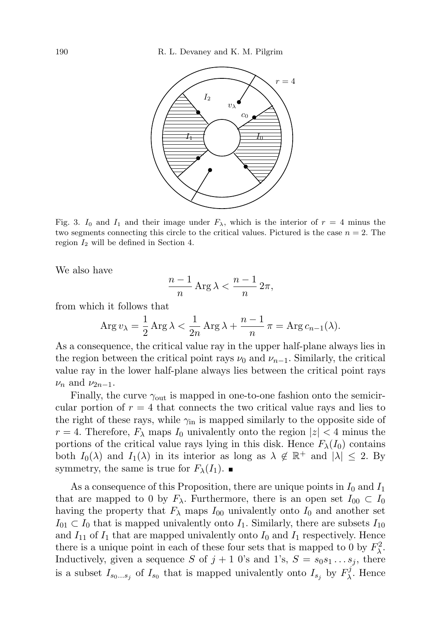

Fig. 3. I<sub>0</sub> and I<sub>1</sub> and their image under  $F_{\lambda}$ , which is the interior of  $r = 4$  minus the two segments connecting this circle to the critical values. Pictured is the case  $n = 2$ . The region  $I_2$  will be defined in Section 4.

We also have

$$
\frac{n-1}{n}\operatorname{Arg}\lambda < \frac{n-1}{n}\,2\pi,
$$

from which it follows that

$$
\operatorname{Arg} v_{\lambda} = \frac{1}{2} \operatorname{Arg} \lambda < \frac{1}{2n} \operatorname{Arg} \lambda + \frac{n-1}{n} \pi = \operatorname{Arg} c_{n-1}(\lambda).
$$

As a consequence, the critical value ray in the upper half-plane always lies in the region between the critical point rays  $\nu_0$  and  $\nu_{n-1}$ . Similarly, the critical value ray in the lower half-plane always lies between the critical point rays  $\nu_n$  and  $\nu_{2n-1}$ .

Finally, the curve  $\gamma_{\text{out}}$  is mapped in one-to-one fashion onto the semicircular portion of  $r = 4$  that connects the two critical value rays and lies to the right of these rays, while  $\gamma_{\rm in}$  is mapped similarly to the opposite side of  $r = 4$ . Therefore,  $F_{\lambda}$  maps  $I_0$  univalently onto the region  $|z| < 4$  minus the portions of the critical value rays lying in this disk. Hence  $F_{\lambda}(I_0)$  contains both  $I_0(\lambda)$  and  $I_1(\lambda)$  in its interior as long as  $\lambda \notin \mathbb{R}^+$  and  $|\lambda| \leq 2$ . By symmetry, the same is true for  $F_{\lambda}(I_1)$ .

As a consequence of this Proposition, there are unique points in  $I_0$  and  $I_1$ that are mapped to 0 by  $F_{\lambda}$ . Furthermore, there is an open set  $I_{00} \subset I_0$ having the property that  $F_{\lambda}$  maps  $I_{00}$  univalently onto  $I_0$  and another set  $I_{01} \subset I_0$  that is mapped univalently onto  $I_1$ . Similarly, there are subsets  $I_{10}$ and  $I_{11}$  of  $I_1$  that are mapped univalently onto  $I_0$  and  $I_1$  respectively. Hence there is a unique point in each of these four sets that is mapped to 0 by  $F_{\lambda}^2$ . Inductively, given a sequence S of  $j + 1$  0's and 1's,  $S = s_0 s_1 \dots s_j$ , there is a subset  $I_{s_0...s_j}$  of  $I_{s_0}$  that is mapped univalently onto  $I_{s_j}$  by  $F_\lambda^j$  $\chi^{\jmath}$ . Hence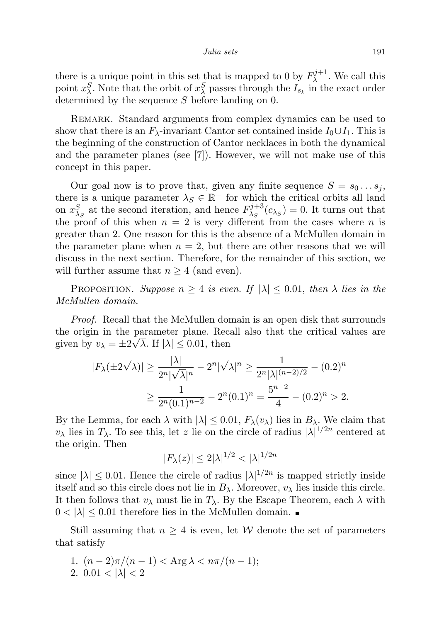there is a unique point in this set that is mapped to 0 by  $F_{\lambda}^{j+1}$  $\lambda^{1/1+1}$ . We call this point  $x_{\lambda}^{S}$ . Note that the orbit of  $x_{\lambda}^{S}$  passes through the  $I_{s_k}$  in the exact order determined by the sequence S before landing on 0.

REMARK. Standard arguments from complex dynamics can be used to show that there is an  $F_{\lambda}$ -invariant Cantor set contained inside  $I_0 \cup I_1$ . This is the beginning of the construction of Cantor necklaces in both the dynamical and the parameter planes (see [7]). However, we will not make use of this concept in this paper.

Our goal now is to prove that, given any finite sequence  $S = s_0 \dots s_j$ , there is a unique parameter  $\lambda_S \in \mathbb{R}^-$  for which the critical orbits all land on  $x_{\lambda_S}^S$  at the second iteration, and hence  $F_{\lambda_S}^{j+3}$  $\lambda_S^{j+3}(c_{\lambda_S})=0.$  It turns out that the proof of this when  $n = 2$  is very different from the cases where n is greater than 2. One reason for this is the absence of a McMullen domain in the parameter plane when  $n = 2$ , but there are other reasons that we will discuss in the next section. Therefore, for the remainder of this section, we will further assume that  $n \geq 4$  (and even).

PROPOSITION. Suppose  $n \geq 4$  is even. If  $|\lambda| \leq 0.01$ , then  $\lambda$  lies in the McMullen domain.

Proof. Recall that the McMullen domain is an open disk that surrounds the origin in the parameter plane. Recall also that the critical values are given by  $v_{\lambda} = \pm 2\sqrt{\lambda}$ . If  $|\lambda| \leq 0.01$ , then

$$
|F_{\lambda}(\pm 2\sqrt{\lambda})| \ge \frac{|\lambda|}{2^n |\sqrt{\lambda}|^n} - 2^n |\sqrt{\lambda}|^n \ge \frac{1}{2^n |\lambda|^{(n-2)/2}} - (0.2)^n
$$
  

$$
\ge \frac{1}{2^n (0.1)^{n-2}} - 2^n (0.1)^n = \frac{5^{n-2}}{4} - (0.2)^n > 2.
$$

By the Lemma, for each  $\lambda$  with  $|\lambda| \leq 0.01$ ,  $F_{\lambda}(v_{\lambda})$  lies in  $B_{\lambda}$ . We claim that  $v_{\lambda}$  lies in  $T_{\lambda}$ . To see this, let z lie on the circle of radius  $|\lambda|^{1/2n}$  centered at the origin. Then

$$
|F_{\lambda}(z)| \le 2|\lambda|^{1/2} < |\lambda|^{1/2n}
$$

since  $|\lambda| \leq 0.01$ . Hence the circle of radius  $|\lambda|^{1/2n}$  is mapped strictly inside itself and so this circle does not lie in  $B_\lambda$ . Moreover,  $v_\lambda$  lies inside this circle. It then follows that  $v_{\lambda}$  must lie in  $T_{\lambda}$ . By the Escape Theorem, each  $\lambda$  with  $0 < |\lambda| \leq 0.01$  therefore lies in the McMullen domain.

Still assuming that  $n \geq 4$  is even, let W denote the set of parameters that satisfy

- 1.  $(n-2)\pi/(n-1) < \text{Arg } \lambda < n\pi/(n-1);$
- 2.  $0.01 < |\lambda| < 2$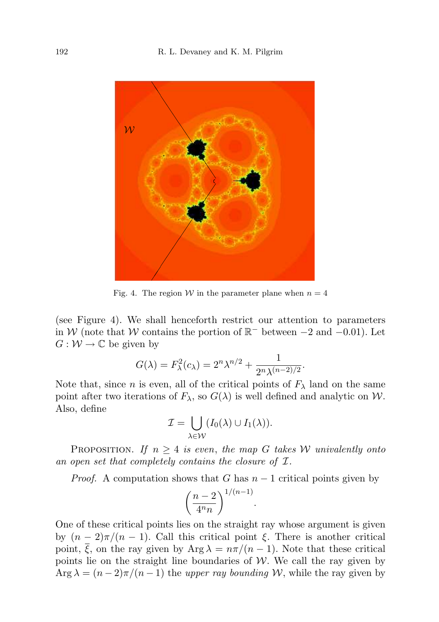

Fig. 4. The region W in the parameter plane when  $n = 4$ 

(see Figure 4). We shall henceforth restrict our attention to parameters in W (note that W contains the portion of  $\mathbb{R}^-$  between  $-2$  and  $-0.01$ ). Let  $G: \mathcal{W} \to \mathbb{C}$  be given by

$$
G(\lambda) = F_{\lambda}^{2}(c_{\lambda}) = 2^{n} \lambda^{n/2} + \frac{1}{2^{n} \lambda^{(n-2)/2}}.
$$

Note that, since n is even, all of the critical points of  $F_{\lambda}$  land on the same point after two iterations of  $F_{\lambda}$ , so  $G(\lambda)$  is well defined and analytic on W. Also, define

$$
\mathcal{I} = \bigcup_{\lambda \in \mathcal{W}} (I_0(\lambda) \cup I_1(\lambda)).
$$

PROPOSITION. If  $n \geq 4$  is even, the map G takes W univalently onto an open set that completely contains the closure of I.

*Proof.* A computation shows that G has  $n-1$  critical points given by

$$
\left(\frac{n-2}{4^n n}\right)^{1/(n-1)}.
$$

One of these critical points lies on the straight ray whose argument is given by  $(n-2)\pi/(n-1)$ . Call this critical point  $\xi$ . There is another critical point,  $\overline{\xi}$ , on the ray given by Arg  $\lambda = n\pi/(n-1)$ . Note that these critical points lie on the straight line boundaries of  $W$ . We call the ray given by Arg  $\lambda = (n-2)\pi/(n-1)$  the upper ray bounding W, while the ray given by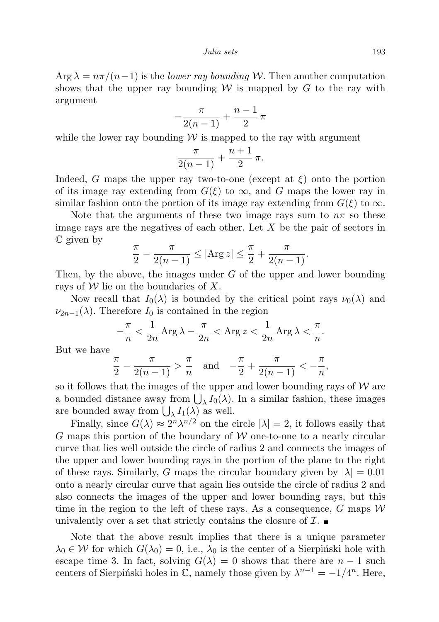$\text{Arg } \lambda = n\pi/(n-1)$  is the lower ray bounding W. Then another computation shows that the upper ray bounding  $W$  is mapped by G to the ray with argument

$$
-\frac{\pi}{2(n-1)}+\frac{n-1}{2}\,\pi
$$

while the lower ray bounding  $W$  is mapped to the ray with argument

$$
\frac{\pi}{2(n-1)} + \frac{n+1}{2} \pi.
$$

Indeed, G maps the upper ray two-to-one (except at  $\xi$ ) onto the portion of its image ray extending from  $G(\xi)$  to  $\infty$ , and G maps the lower ray in similar fashion onto the portion of its image ray extending from  $G(\xi)$  to  $\infty$ .

Note that the arguments of these two image rays sum to  $n\pi$  so these image rays are the negatives of each other. Let  $X$  be the pair of sectors in C given by

$$
\frac{\pi}{2} - \frac{\pi}{2(n-1)} \le |\text{Arg } z| \le \frac{\pi}{2} + \frac{\pi}{2(n-1)}.
$$

Then, by the above, the images under  $G$  of the upper and lower bounding rays of  $W$  lie on the boundaries of X.

Now recall that  $I_0(\lambda)$  is bounded by the critical point rays  $\nu_0(\lambda)$  and  $\nu_{2n-1}(\lambda)$ . Therefore  $I_0$  is contained in the region

$$
-\frac{\pi}{n} < \frac{1}{2n} \operatorname{Arg} \lambda - \frac{\pi}{2n} < \operatorname{Arg} z < \frac{1}{2n} \operatorname{Arg} \lambda < \frac{\pi}{n}.
$$

But we have

$$
\frac{\pi}{2} - \frac{\pi}{2(n-1)} > \frac{\pi}{n} \quad \text{and} \quad -\frac{\pi}{2} + \frac{\pi}{2(n-1)} < -\frac{\pi}{n},
$$

so it follows that the images of the upper and lower bounding rays of  $W$  are a bounded distance away from  $\bigcup_{\lambda} I_0(\lambda)$ . In a similar fashion, these images are bounded away from  $\bigcup_{\lambda} I_1(\lambda)$  as well.

Finally, since  $G(\lambda) \approx 2^n \lambda^{n/2}$  on the circle  $|\lambda| = 2$ , it follows easily that G maps this portion of the boundary of  $W$  one-to-one to a nearly circular curve that lies well outside the circle of radius 2 and connects the images of the upper and lower bounding rays in the portion of the plane to the right of these rays. Similarly, G maps the circular boundary given by  $|\lambda| = 0.01$ onto a nearly circular curve that again lies outside the circle of radius 2 and also connects the images of the upper and lower bounding rays, but this time in the region to the left of these rays. As a consequence, G maps  $W$ univalently over a set that strictly contains the closure of  $\mathcal{I}$ .

Note that the above result implies that there is a unique parameter  $\lambda_0 \in \mathcal{W}$  for which  $G(\lambda_0) = 0$ , i.e.,  $\lambda_0$  is the center of a Sierpinski hole with escape time 3. In fact, solving  $G(\lambda) = 0$  shows that there are  $n - 1$  such centers of Sierpiński holes in  $\mathbb{C}$ , namely those given by  $\lambda^{n-1} = -1/4^n$ . Here,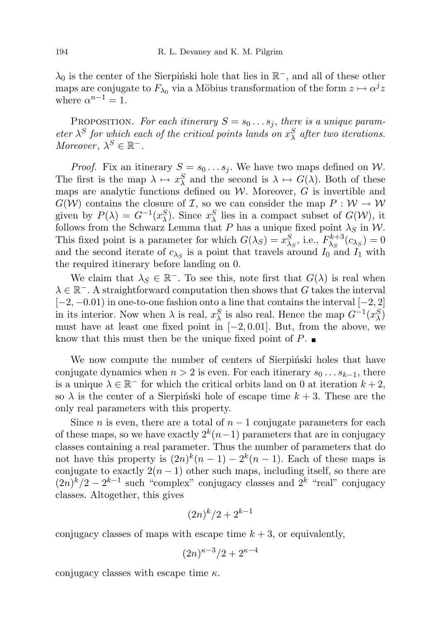$\lambda_0$  is the center of the Sierpiński hole that lies in  $\mathbb{R}^-$ , and all of these other maps are conjugate to  $F_{\lambda_0}$  via a Möbius transformation of the form  $z \mapsto \alpha^j z$ where  $\alpha^{n-1} = 1$ .

PROPOSITION. For each itinerary  $S = s_0 \dots s_j$ , there is a unique parameter  $\lambda^S$  for which each of the critical points lands on  $x_\lambda^S$  after two iterations. Moreover,  $\lambda^S \in \mathbb{R}^-$ .

*Proof.* Fix an itinerary  $S = s_0 \dots s_j$ . We have two maps defined on W. The first is the map  $\lambda \mapsto x_{\lambda}^{S}$  and the second is  $\lambda \mapsto G(\lambda)$ . Both of these maps are analytic functions defined on  $W$ . Moreover,  $G$  is invertible and  $G(W)$  contains the closure of *I*, so we can consider the map  $P: W \to W$ given by  $P(\lambda) = G^{-1}(x_{\lambda}^{S})$ . Since  $x_{\lambda}^{S}$  lies in a compact subset of  $G(\mathcal{W})$ , it follows from the Schwarz Lemma that P has a unique fixed point  $\lambda_S$  in W. This fixed point is a parameter for which  $G(\lambda_S) = x_{\lambda_S}^S$ , i.e.,  $F_{\lambda_S}^{k+3}$  $\lambda_S^{k+3}(c_{\lambda_S})=0$ and the second iterate of  $c_{\lambda_S}$  is a point that travels around  $I_0$  and  $I_1$  with the required itinerary before landing on 0.

We claim that  $\lambda_S \in \mathbb{R}^-$ . To see this, note first that  $G(\lambda)$  is real when  $\lambda \in \mathbb{R}^-.$  A straightforward computation then shows that G takes the interval  $[-2, -0.01)$  in one-to-one fashion onto a line that contains the interval  $[-2, 2]$ in its interior. Now when  $\lambda$  is real,  $x_{\lambda}^{S}$  is also real. Hence the map  $G^{-1}(x_{\lambda}^{S})$ must have at least one fixed point in  $[-2, 0.01]$ . But, from the above, we know that this must then be the unique fixed point of  $P$ .

We now compute the number of centers of Sierpinski holes that have conjugate dynamics when  $n > 2$  is even. For each itinerary  $s_0 \dots s_{k-1}$ , there is a unique  $\lambda \in \mathbb{R}^-$  for which the critical orbits land on 0 at iteration  $k+2$ , so  $\lambda$  is the center of a Sierpinski hole of escape time  $k + 3$ . These are the only real parameters with this property.

Since *n* is even, there are a total of  $n - 1$  conjugate parameters for each of these maps, so we have exactly  $2^k(n-1)$  parameters that are in conjugacy classes containing a real parameter. Thus the number of parameters that do not have this property is  $(2n)^k(n-1) - 2^k(n-1)$ . Each of these maps is conjugate to exactly  $2(n-1)$  other such maps, including itself, so there are  $(2n)^k/2 - 2^{k-1}$  such "complex" conjugacy classes and  $2^k$  "real" conjugacy classes. Altogether, this gives

$$
(2n)^k/2 + 2^{k-1}
$$

conjugacy classes of maps with escape time  $k + 3$ , or equivalently,

$$
(2n)^{\kappa-3}/2 + 2^{\kappa-4}
$$

conjugacy classes with escape time  $\kappa$ .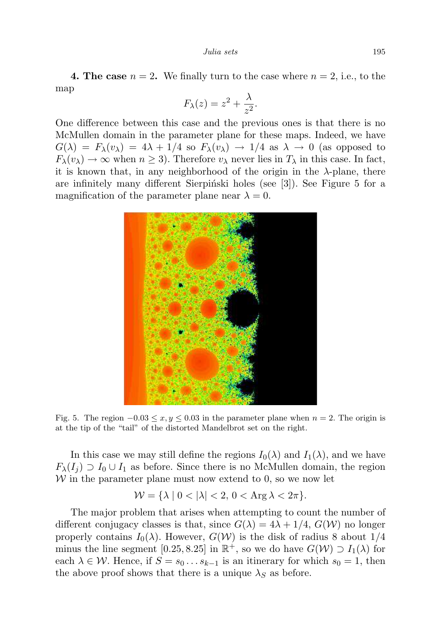**4. The case**  $n = 2$ . We finally turn to the case where  $n = 2$ , i.e., to the map

$$
F_{\lambda}(z) = z^2 + \frac{\lambda}{z^2}.
$$

One difference between this case and the previous ones is that there is no McMullen domain in the parameter plane for these maps. Indeed, we have  $G(\lambda) = F_{\lambda}(v_{\lambda}) = 4\lambda + 1/4$  so  $F_{\lambda}(v_{\lambda}) \rightarrow 1/4$  as  $\lambda \rightarrow 0$  (as opposed to  $F_{\lambda}(v_{\lambda}) \rightarrow \infty$  when  $n \geq 3$ ). Therefore  $v_{\lambda}$  never lies in  $T_{\lambda}$  in this case. In fact, it is known that, in any neighborhood of the origin in the  $\lambda$ -plane, there are infinitely many different Sierpiński holes (see [3]). See Figure 5 for a magnification of the parameter plane near  $\lambda = 0$ .



Fig. 5. The region  $-0.03 \le x, y \le 0.03$  in the parameter plane when  $n = 2$ . The origin is at the tip of the "tail" of the distorted Mandelbrot set on the right.

In this case we may still define the regions  $I_0(\lambda)$  and  $I_1(\lambda)$ , and we have  $F_{\lambda}(I_i) \supset I_0 \cup I_1$  as before. Since there is no McMullen domain, the region  $W$  in the parameter plane must now extend to 0, so we now let

$$
\mathcal{W} = \{\lambda \mid 0 < |\lambda| < 2, \, 0 < \operatorname{Arg} \lambda < 2\pi\}.
$$

The major problem that arises when attempting to count the number of different conjugacy classes is that, since  $G(\lambda) = 4\lambda + 1/4$ ,  $G(\mathcal{W})$  no longer properly contains  $I_0(\lambda)$ . However,  $G(\mathcal{W})$  is the disk of radius 8 about 1/4 minus the line segment [0.25, 8.25] in  $\mathbb{R}^+$ , so we do have  $G(\mathcal{W}) \supset I_1(\lambda)$  for each  $\lambda \in \mathcal{W}$ . Hence, if  $S = s_0 \dots s_{k-1}$  is an itinerary for which  $s_0 = 1$ , then the above proof shows that there is a unique  $\lambda_S$  as before.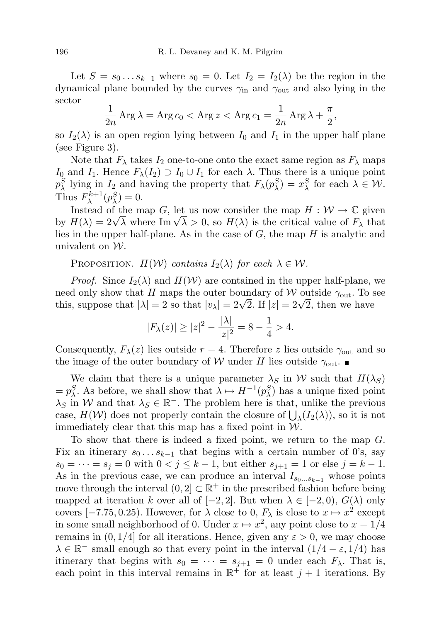Let  $S = s_0 \dots s_{k-1}$  where  $s_0 = 0$ . Let  $I_2 = I_2(\lambda)$  be the region in the dynamical plane bounded by the curves  $\gamma_{\rm in}$  and  $\gamma_{\rm out}$  and also lying in the sector

$$
\frac{1}{2n}\operatorname{Arg}\lambda = \operatorname{Arg} c_0 < \operatorname{Arg} z < \operatorname{Arg} c_1 = \frac{1}{2n}\operatorname{Arg}\lambda + \frac{\pi}{2},
$$

so  $I_2(\lambda)$  is an open region lying between  $I_0$  and  $I_1$  in the upper half plane (see Figure 3).

Note that  $F_{\lambda}$  takes  $I_2$  one-to-one onto the exact same region as  $F_{\lambda}$  maps I<sub>0</sub> and I<sub>1</sub>. Hence  $F_{\lambda}(I_2) \supset I_0 \cup I_1$  for each  $\lambda$ . Thus there is a unique point  $p_{\lambda}^{S}$  lying in  $I_2$  and having the property that  $F_{\lambda}(p_{\lambda}^{S}) = x_{\lambda}^{S}$  for each  $\lambda \in \mathcal{W}$ . Thus  $F_{\lambda}^{k+1}$  $b_{\lambda}^{k+1}(p_{\lambda}^{S})=0.$ 

Instead of the map G, let us now consider the map  $H : \mathcal{W} \to \mathbb{C}$  given Instead of the map G, let us now consider the map  $H : VV \to \mathbb{C}$  given<br>by  $H(\lambda) = 2\sqrt{\lambda}$  where Im  $\sqrt{\lambda} > 0$ , so  $H(\lambda)$  is the critical value of  $F_{\lambda}$  that lies in the upper half-plane. As in the case of  $G$ , the map  $H$  is analytic and univalent on W.

PROPOSITION.  $H(\mathcal{W})$  contains  $I_2(\lambda)$  for each  $\lambda \in \mathcal{W}$ .

*Proof.* Since  $I_2(\lambda)$  and  $H(\mathcal{W})$  are contained in the upper half-plane, we need only show that H maps the outer boundary of W outside  $\gamma_{\text{out}}$ . To see this, suppose that  $|\lambda| = 2$  so that  $|v_{\lambda}| = 2\sqrt{2}$ . If  $|z| = 2\sqrt{2}$ , then we have

$$
|F_{\lambda}(z)| \ge |z|^2 - \frac{|\lambda|}{|z|^2} = 8 - \frac{1}{4} > 4.
$$

Consequently,  $F_{\lambda}(z)$  lies outside  $r = 4$ . Therefore z lies outside  $\gamma_{\text{out}}$  and so the image of the outer boundary of W under H lies outside  $\gamma_{\text{out}}$ .

We claim that there is a unique parameter  $\lambda_S$  in W such that  $H(\lambda_S)$  $= p_{\lambda}^{S}$ . As before, we shall show that  $\lambda \mapsto H^{-1}(p_{\lambda}^{S})$  has a unique fixed point  $\lambda_S$  in W and that  $\lambda_S \in \mathbb{R}^-$ . The problem here is that, unlike the previous case,  $H(\mathcal{W})$  does not properly contain the closure of  $\bigcup_{\lambda} (I_2(\lambda))$ , so it is not immediately clear that this map has a fixed point in  $W$ .

To show that there is indeed a fixed point, we return to the map G. Fix an itinerary  $s_0 \dots s_{k-1}$  that begins with a certain number of 0's, say  $s_0 = \cdots = s_j = 0$  with  $0 < j \leq k - 1$ , but either  $s_{j+1} = 1$  or else  $j = k - 1$ . As in the previous case, we can produce an interval  $I_{s_0...s_{k-1}}$  whose points move through the interval  $(0, 2] \subset \mathbb{R}^+$  in the prescribed fashion before being mapped at iteration k over all of [−2, 2]. But when  $\lambda \in [-2,0)$ ,  $G(\lambda)$  only covers [-7.75, 0.25). However, for  $\lambda$  close to 0,  $F_{\lambda}$  is close to  $x \mapsto x^2$  except in some small neighborhood of 0. Under  $x \mapsto x^2$ , any point close to  $x = 1/4$ remains in  $(0, 1/4]$  for all iterations. Hence, given any  $\varepsilon > 0$ , we may choose  $\lambda \in \mathbb{R}^-$  small enough so that every point in the interval  $(1/4 - \varepsilon, 1/4)$  has itinerary that begins with  $s_0 = \cdots = s_{j+1} = 0$  under each  $F_{\lambda}$ . That is, each point in this interval remains in  $\mathbb{R}^+$  for at least  $j+1$  iterations. By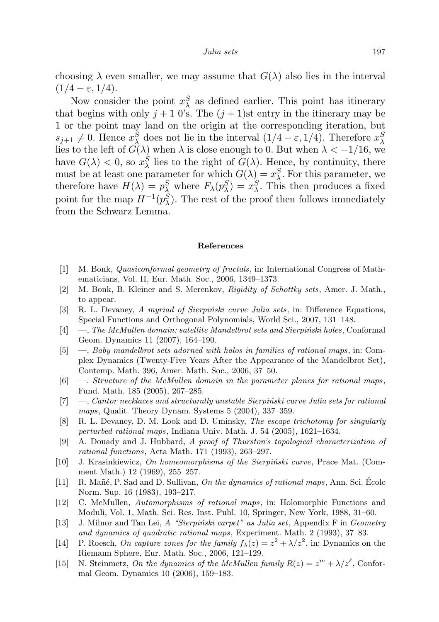choosing  $\lambda$  even smaller, we may assume that  $G(\lambda)$  also lies in the interval  $(1/4 - \varepsilon, 1/4).$ 

Now consider the point  $x_{\lambda}^{S}$  as defined earlier. This point has itinerary that begins with only  $j + 1$  0's. The  $(j + 1)$ st entry in the itinerary may be 1 or the point may land on the origin at the corresponding iteration, but  $s_{j+1} \neq 0$ . Hence  $x_{\lambda}^{S}$  does not lie in the interval  $(1/4 - \varepsilon, 1/4)$ . Therefore  $x_{\lambda}^{S}$ lies to the left of  $G(\lambda)$  when  $\lambda$  is close enough to 0. But when  $\lambda < -1/16$ , we have  $G(\lambda) < 0$ , so  $x_{\lambda}^{S}$  lies to the right of  $G(\lambda)$ . Hence, by continuity, there must be at least one parameter for which  $G(\lambda) = x_{\lambda}^{S}$ . For this parameter, we therefore have  $H(\lambda) = p_{\lambda}^{S}$  where  $F_{\lambda}(p_{\lambda}^{S}) = x_{\lambda}^{S}$ . This then produces a fixed point for the map  $H^{-1}(p_{\lambda}^S)$ . The rest of the proof then follows immediately from the Schwarz Lemma.

#### References

- [1] M. Bonk, Quasiconformal geometry of fractals, in: International Congress of Mathematicians, Vol. II, Eur. Math. Soc., 2006, 1349–1373.
- [2] M. Bonk, B. Kleiner and S. Merenkov, Rigidity of Schottky sets, Amer. J. Math., to appear.
- [3] R. L. Devaney, A myriad of Sierpinski curve Julia sets, in: Difference Equations, Special Functions and Orthogonal Polynomials, World Sci., 2007, 131–148.
- $[4] \quad$ , The McMullen domain: satellite Mandelbrot sets and Sierpiński holes, Conformal Geom. Dynamics 11 (2007), 164–190.
- [5] —, Baby mandelbrot sets adorned with halos in families of rational maps , in: Complex Dynamics (Twenty-Five Years After the Appearance of the Mandelbrot Set), Contemp. Math. 396, Amer. Math. Soc., 2006, 37–50.
- [6] —. Structure of the McMullen domain in the parameter planes for rational maps , Fund. Math. 185 (2005), 267–285.
- $[7] \quad$ —, Cantor necklaces and structurally unstable Sierpinski curve Julia sets for rational maps, Qualit. Theory Dynam. Systems 5 (2004), 337–359.
- [8] R. L. Devaney, D. M. Look and D. Uminsky, The escape trichotomy for singularly perturbed rational maps, Indiana Univ. Math. J. 54 (2005), 1621–1634.
- [9] A. Douady and J. Hubbard, A proof of Thurston's topological characterization of rational functions, Acta Math. 171 (1993), 263–297.
- [10] J. Krasinkiewicz, On homeomorphisms of the Sierpiński curve, Prace Mat. (Comment Math.) 12 (1969), 255–257.
- [11] R. Mañé, P. Sad and D. Sullivan, On the dynamics of rational maps, Ann. Sci. Ecole Norm. Sup. 16 (1983), 193–217.
- [12] C. McMullen, Automorphisms of rational maps, in: Holomorphic Functions and Moduli, Vol. 1, Math. Sci. Res. Inst. Publ. 10, Springer, New York, 1988, 31–60.
- [13] J. Milnor and Tan Lei, A "Sierpiński carpet" as Julia set, Appendix F in Geometry and dynamics of quadratic rational maps, Experiment. Math. 2 (1993), 37–83.
- [14] P. Roesch, On capture zones for the family  $f_{\lambda}(z) = z^2 + \lambda/z^2$ , in: Dynamics on the Riemann Sphere, Eur. Math. Soc., 2006, 121–129.
- [15] N. Steinmetz, On the dynamics of the McMullen family  $R(z) = z^m + \lambda/z^{\ell}$ , Conformal Geom. Dynamics 10 (2006), 159–183.